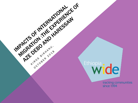

IMPACTS OF INTERNATIONAL

KIROS BIRHAND.

OCTOBER 2014B

AZE DEBO AND HARESSAU

tracking communities since 1994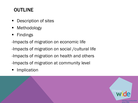## **OUTLINE**

- **Description of sites**
- **Methodology**
- **Findings**

-Impacts of migration on economic life

-Impacts of migration on social /cultural life

- -Impacts of migration on health and others
- -Impacts of migration at community level
- **Implication**

j

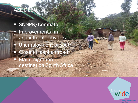#### AZE DEBO

ì

**Company** 

**SNNPR/Kembata** Improvements in agricultural activities Unemployment of youth Close to asphalt road **Main migration** destination South Africa

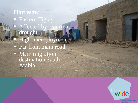HARESSAW **Harresaw** Eastern Tigray Affected by recurrent drought **High unemployment Far from main road Main migration** destination Saudi Arabia

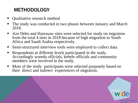# METHODOLOGY

- Qualitative research method
- The study was conducted in two phases between January and March 2018.
- Aze Debo and Haressaw sites were selected for study on migration from the total 4 sites in 2018 because of high migration to South Africa and Saudi Arabia respectively.
- Semi-structured interview tools were employed to collect data.
- Respondents at different levels participated in the study. Accordingly woreda officials, kebele officials and community members were involved in the study.
- Most of the study participants were selected purposely based on their direct and indirect experiences of migration.

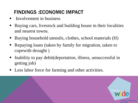# FINDINGS :ECONOMIC IMPACT

- **I**nvolvement in business
- Buying cars, livestock and building house in their localities and nearest towns.
- Buying household utensils, clothes, school materials (H)
- Repaying loans (taken by family for migration, taken to copewith drought )
- Inability to pay debit (deportation, illness, unsuccessful in getting job)
- **Less labor force for farming and other activities.**

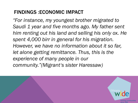### FINDINGS :ECONOMIC IMPACT

*"For instance, my youngest brother migrated to Saudi 1 year and five months ago. My father sent him renting out his land and selling his only ox. He spent 4,000 birr in general for his migration. However, we have no information about it so far, let alone getting remittance. Thus, this is the experience of many people in our community."(Migrant's sister Haressaw)*

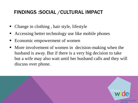### FINDINGS :SOCIAL /CULTURAL IMPACT

- Change in clothing, hair style, lifestyle
- Accessing better technology use like mobile phones
- Economic empowerment of women
- More involvement of women in decision-making when the husband is away. But if there is a very big decision to take but a wife may also wait until her husband calls and they will discuss over phone.

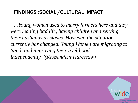#### FINDINGS :SOCIAL /CULTURAL IMPACT

*"…Young women used to marry farmers here and they were leading bad life, having children and serving their husbands as slaves. However, the situation currently has changed. Young Women are migrating to Saudi and improving their livelihood independently."(Respondent Haressaw)*

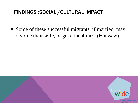#### FINDINGS :SOCIAL /CULTURAL IMPACT

• Some of these successful migrants, if married, may divorce their wife, or get concubines. (Harssaw)

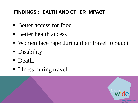### FINDINGS :HEALTH AND OTHER IMPACT

- Better access for food
- Better health access
- Women face rape during their travel to Saudi
- Disability
- Death,

l<br>California

■ Illness during travel

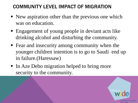- New aspiration other than the previous one which was on education.
- Engagement of young people in deviant acts like drinking alcohol and disturbing the community.
- Fear and insecurity among community when the younger children intention is to go to Saudi end up in failure.(Haressaw)
- In Aze Debo migration helped to bring more security to the community.

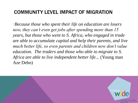*"Because those who spent their life on education are losers now, they can't even get jobs after spending more than 15 years, but those who went to S. Africa, who engaged in trade are able to accumulate capital and help their parents, and live much better life, so even parents and children now don't value education. The traders and those who able to migrate to S. Africa are able to live independent better life.,. (Young man* Aze Debo)

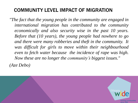*"The fact that the young people in the community are engaged in international migration has contributed to the community economically and also security wise in the past 10 years. Before that (10 years), the young people had nowhere to go and there were many robberies and theft in the community. It was difficult for girls to move within their neighbourhood even to fetch water because the incidence of rape was high. Now these are no longer the community's biggest issues." (Aze Debo)*

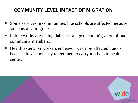- Some services in communities like schools are affected because students also migrate.
- Public works are facing labor shortage due to migration of male community members.
- Health extension workers endeavor was a bit affected due to because it was not easy to get men to carry mothers to health center.

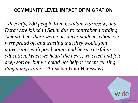*"Recently, 200 people from G/kidan, Harresaw, and Dera were killed in Saudi due to contraband trading. Among them there were our clever students whom we were proud of, and trusting that they would join universities with good points and be successful in education. When we heard the news, we cried and felt deep sorrow but we could not help it except cursing illegal migration."(*A teacher from Haressaw*)*